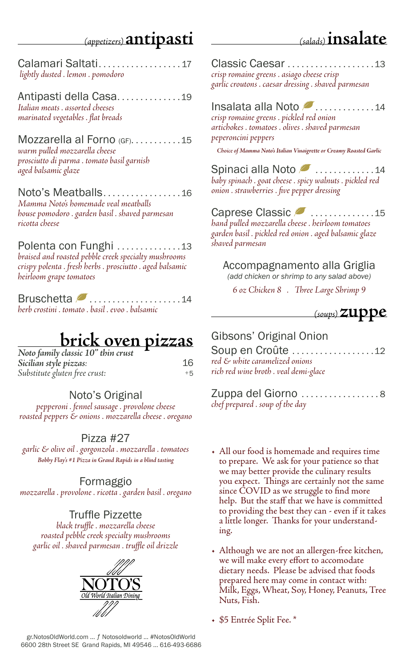# *(appetizers)* **antipasti**

# *(salads)* **insalate**

Calamari Saltati . . . . . . . . . . . . . . . . . 17  *lightly dusted . lemon . pomodoro*

Antipasti della Casa...............19 *Italian meats . assorted cheeses* 

*marinated vegetables . flat breads* 

Mozzarella al Forno  $GF_1, \ldots, G_n$ . 15 *warm pulled mozzarella cheese prosciutto di parma . tomato basil garnish aged balsamic glaze*

Noto's Meatballs . . . . . . . . . . . . . . . . 16 *Mamma Noto's homemade veal meatballs house pomodoro . garden basil . shaved parmesan ricotta cheese*

Polenta con Funghi . . . . . . . . . . . . . 13 *braised and roasted pebble creek specialty mushrooms crispy polenta . fresh herbs . prosciutto . aged balsamic heirloom grape tomatoes*

Bruschetta 2......................14 *herb crostini . tomato . basil . evoo . balsamic*

# **brick oven pizzas** *Noto family classic 10" thin crust*

| Noto family classic 10" thin crust |      |
|------------------------------------|------|
| Sicilian style pizzas:             | 16   |
| Substitute gluten free crust:      | $+5$ |

#### Noto's Original

*pepperoni . fennel sausage . provolone cheese roasted peppers & onions . mozzarella cheese . oregano*

#### Pizza #27

*garlic & olive oil . gorgonzola . mozzarella . tomatoes Bobby Flay's #1 Pizza in Grand Rapids in a blind tasting*

#### Formaggio

*mozzarella . provolone . ricotta . garden basil . oregano*

#### Truffle Pizzette

*black truffle . mozzarella cheese roasted pebble creek specialty mushrooms garlic oil . shaved parmesan . truffle oil drizzle*



Classic Caesar . . . . . . . . . . . . . . . . . . 13 *crisp romaine greens . asiago cheese crisp garlic croutons . caesar dressing . shaved parmesan* 

#### Insalata alla Noto . . . . . . . . . . . . 14

*crisp romaine greens . pickled red onion artichokes . tomatoes . olives . shaved parmesan peperoncini peppers*

*Choice of Mamma Noto's Italian Vinaigrette or Creamy Roasted Garlic*

Spinaci alla Noto 2..............14 *baby spinach . goat cheese . spicy walnuts . pickled red onion . strawberries . five pepper dressing*

### Caprese Classic 2 ................15

*hand pulled mozzarella cheese . heirloom tomatoes garden basil . pickled red onion . aged balsamic glaze shaved parmesan*

Accompagnamento alla Griglia *(add chicken or shrimp to any salad above)*

*6 oz Chicken 8 . Three Large Shrimp 9*



#### Gibsons' Original Onion

Soup en Croûte ...................12 *red & white caramelized onions rich red wine broth . veal demi-glace*

Zuppa del Giorno . . . . . ........... 8 *chef prepared . soup of the day*

- All our food is homemade and requires time to prepare. We ask for your patience so that we may better provide the culinary results you expect. Things are certainly not the same since COVID as we struggle to find more help. But the staff that we have is committed to providing the best they can - even if it takes a little longer. Thanks for your understanding.
- Although we are not an allergen-free kitchen, we will make every effort to accomodate dietary needs. Please be advised that foods prepared here may come in contact with: Milk, Eggs, Wheat, Soy, Honey, Peanuts, Tree Nuts, Fish.
- \$5 Entrée Split Fee. \*

gr.NotosOldWorld.com … ƒ Notosoldworld … #NotosOldWorld 6600 28th Street SE Grand Rapids, MI 49546 … 616-493-6686